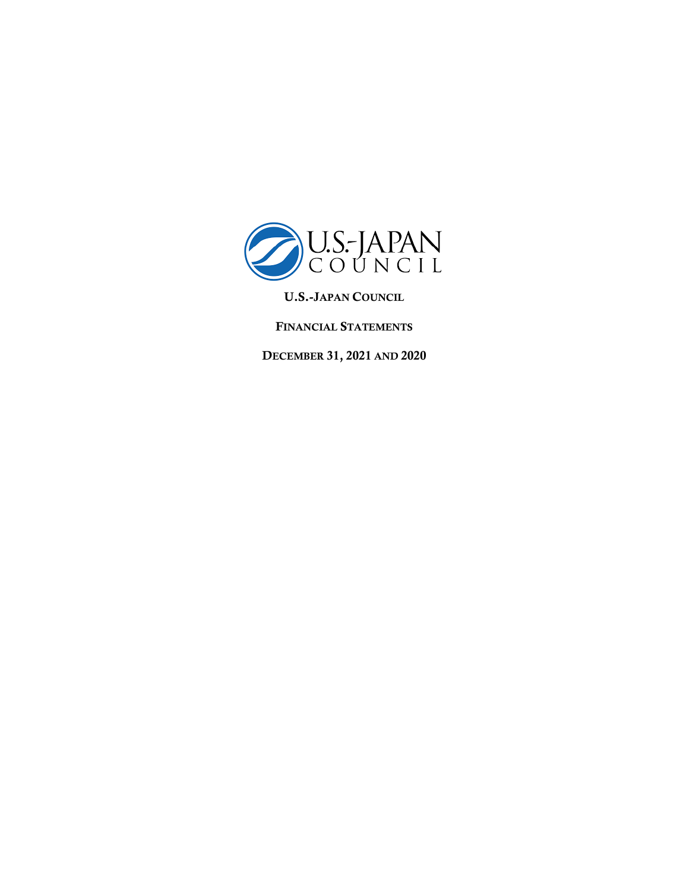

## FINANCIAL STATEMENTS

DECEMBER 31, 2021 AND 2020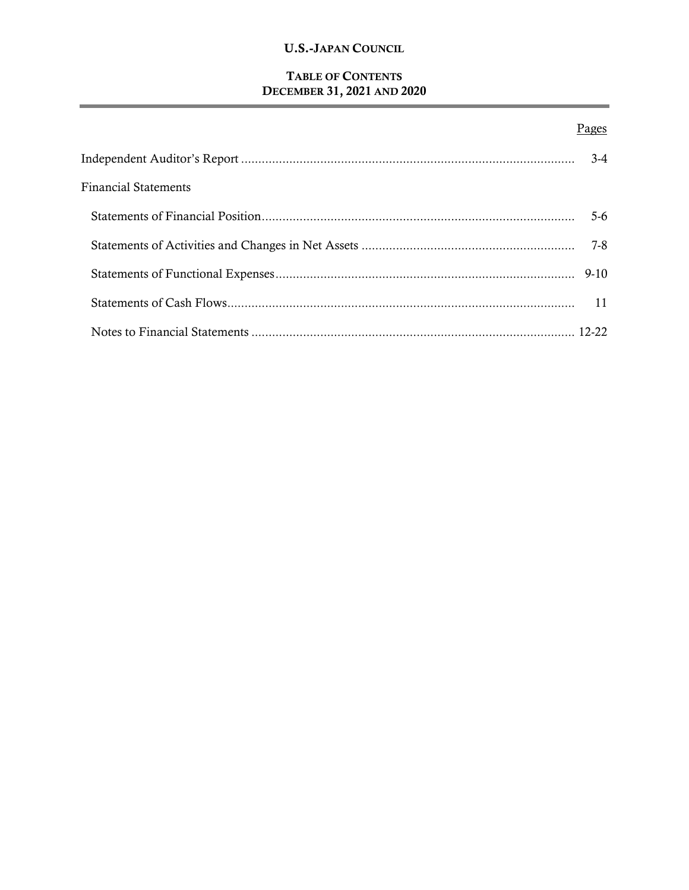# TABLE OF CONTENTS DECEMBER 31, 2021 AND 2020

## Pages

|                      | $3-4$ |
|----------------------|-------|
| Financial Statements |       |
|                      | $5-6$ |
|                      |       |
|                      |       |
|                      |       |
|                      |       |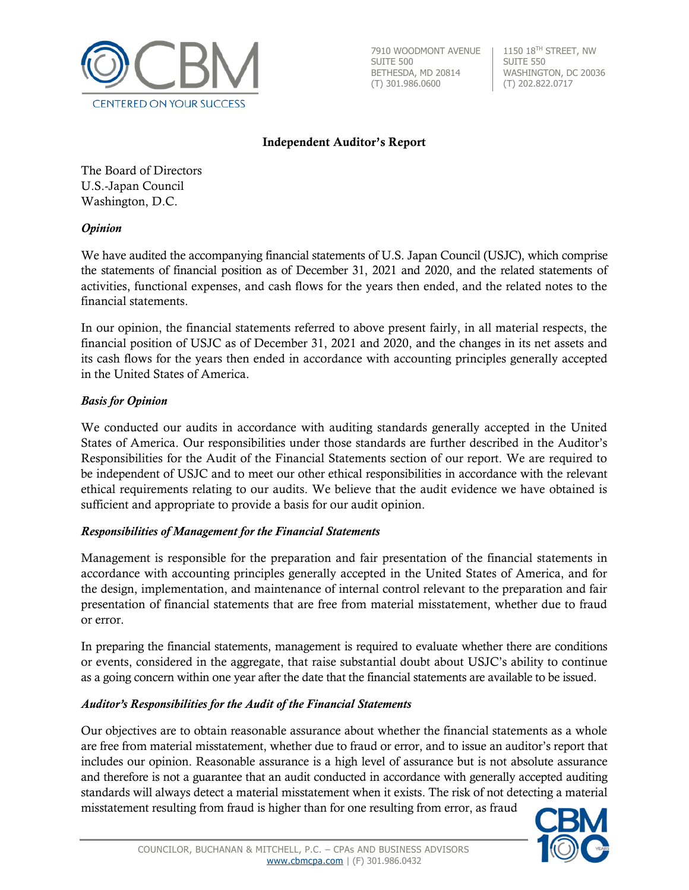

7910 WOODMONT AVENUE SUITE 500 BETHESDA, MD 20814 (T) 301.986.0600

1150 18TH STREET, NW SUITE 550 WASHINGTON, DC 20036 (T) 202.822.0717

## Independent Auditor's Report

<span id="page-2-0"></span>The Board of Directors U.S.-Japan Council Washington, D.C.

## *Opinion*

We have audited the accompanying financial statements of U.S. Japan Council (USJC), which comprise the statements of financial position as of December 31, 2021 and 2020, and the related statements of activities, functional expenses, and cash flows for the years then ended, and the related notes to the financial statements.

In our opinion, the financial statements referred to above present fairly, in all material respects, the financial position of USJC as of December 31, 2021 and 2020, and the changes in its net assets and its cash flows for the years then ended in accordance with accounting principles generally accepted in the United States of America.

## *Basis for Opinion*

We conducted our audits in accordance with auditing standards generally accepted in the United States of America. Our responsibilities under those standards are further described in the Auditor's Responsibilities for the Audit of the Financial Statements section of our report. We are required to be independent of USJC and to meet our other ethical responsibilities in accordance with the relevant ethical requirements relating to our audits. We believe that the audit evidence we have obtained is sufficient and appropriate to provide a basis for our audit opinion.

## *Responsibilities of Management for the Financial Statements*

Management is responsible for the preparation and fair presentation of the financial statements in accordance with accounting principles generally accepted in the United States of America, and for the design, implementation, and maintenance of internal control relevant to the preparation and fair presentation of financial statements that are free from material misstatement, whether due to fraud or error.

In preparing the financial statements, management is required to evaluate whether there are conditions or events, considered in the aggregate, that raise substantial doubt about USJC's ability to continue as a going concern within one year after the date that the financial statements are available to be issued.

## *Auditor's Responsibilities for the Audit of the Financial Statements*

Our objectives are to obtain reasonable assurance about whether the financial statements as a whole are free from material misstatement, whether due to fraud or error, and to issue an auditor's report that includes our opinion. Reasonable assurance is a high level of assurance but is not absolute assurance and therefore is not a guarantee that an audit conducted in accordance with generally accepted auditing standards will always detect a material misstatement when it exists. The risk of not detecting a material misstatement resulting from fraud is higher than for one resulting from error, as fraud

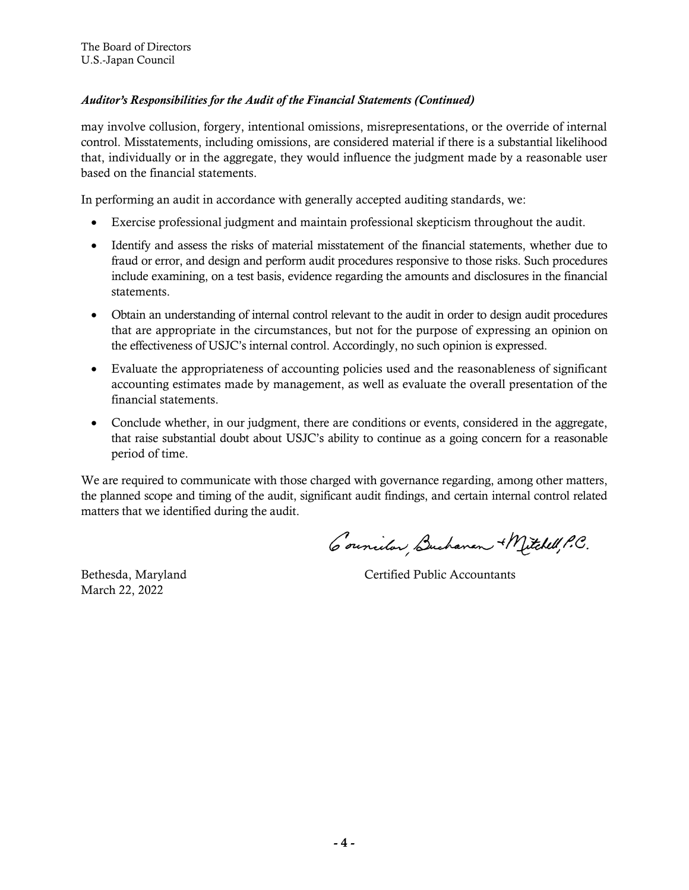## *Auditor's Responsibilities for the Audit of the Financial Statements (Continued)*

may involve collusion, forgery, intentional omissions, misrepresentations, or the override of internal control. Misstatements, including omissions, are considered material if there is a substantial likelihood that, individually or in the aggregate, they would influence the judgment made by a reasonable user based on the financial statements.

In performing an audit in accordance with generally accepted auditing standards, we:

- Exercise professional judgment and maintain professional skepticism throughout the audit.
- Identify and assess the risks of material misstatement of the financial statements, whether due to fraud or error, and design and perform audit procedures responsive to those risks. Such procedures include examining, on a test basis, evidence regarding the amounts and disclosures in the financial statements.
- Obtain an understanding of internal control relevant to the audit in order to design audit procedures that are appropriate in the circumstances, but not for the purpose of expressing an opinion on the effectiveness of USJC's internal control. Accordingly, no such opinion is expressed.
- Evaluate the appropriateness of accounting policies used and the reasonableness of significant accounting estimates made by management, as well as evaluate the overall presentation of the financial statements.
- Conclude whether, in our judgment, there are conditions or events, considered in the aggregate, that raise substantial doubt about USJC's ability to continue as a going concern for a reasonable period of time.

We are required to communicate with those charged with governance regarding, among other matters, the planned scope and timing of the audit, significant audit findings, and certain internal control related matters that we identified during the audit.

6 ounidar, Buchanan + Mitchell, P.C.

<span id="page-3-0"></span>March 22, 2022

Bethesda, Maryland Certified Public Accountants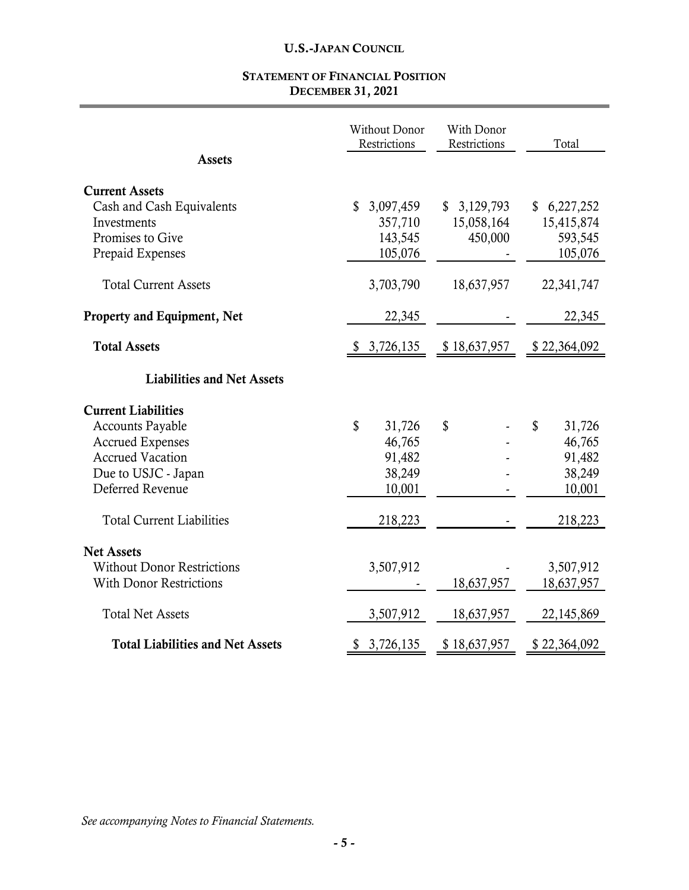## STATEMENT OF FINANCIAL POSITION DECEMBER 31, 2021

<span id="page-4-0"></span>

|                                         | Without Donor<br>Restrictions | With Donor<br>Restrictions  | Total           |
|-----------------------------------------|-------------------------------|-----------------------------|-----------------|
| <b>Assets</b>                           |                               |                             |                 |
| <b>Current Assets</b>                   |                               |                             |                 |
| Cash and Cash Equivalents               | $\mathbb{S}$<br>3,097,459     | 3,129,793<br>$\mathbb{S}^-$ | 6,227,252<br>\$ |
| Investments                             | 357,710                       | 15,058,164                  | 15,415,874      |
| Promises to Give                        | 143,545                       | 450,000                     | 593,545         |
| Prepaid Expenses                        | 105,076                       |                             | 105,076         |
| <b>Total Current Assets</b>             | 3,703,790                     | 18,637,957                  | 22,341,747      |
| <b>Property and Equipment, Net</b>      | 22,345                        |                             | 22,345          |
| <b>Total Assets</b>                     | \$3,726,135                   | \$18,637,957                | \$22,364,092    |
| <b>Liabilities and Net Assets</b>       |                               |                             |                 |
| <b>Current Liabilities</b>              |                               |                             |                 |
| <b>Accounts Payable</b>                 | $\mathbf S$<br>31,726         | \$                          | 31,726<br>\$    |
| <b>Accrued Expenses</b>                 | 46,765                        |                             | 46,765          |
| <b>Accrued Vacation</b>                 | 91,482                        |                             | 91,482          |
| Due to USJC - Japan                     | 38,249                        |                             | 38,249          |
| Deferred Revenue                        | 10,001                        |                             | 10,001          |
| <b>Total Current Liabilities</b>        | 218,223                       |                             | 218,223         |
| <b>Net Assets</b>                       |                               |                             |                 |
| <b>Without Donor Restrictions</b>       | 3,507,912                     |                             | 3,507,912       |
| <b>With Donor Restrictions</b>          |                               | 18,637,957                  | 18,637,957      |
| <b>Total Net Assets</b>                 | 3,507,912                     | 18,637,957                  | 22, 145, 869    |
| <b>Total Liabilities and Net Assets</b> | \$3,726,135                   | \$18,637,957                | \$22,364,092    |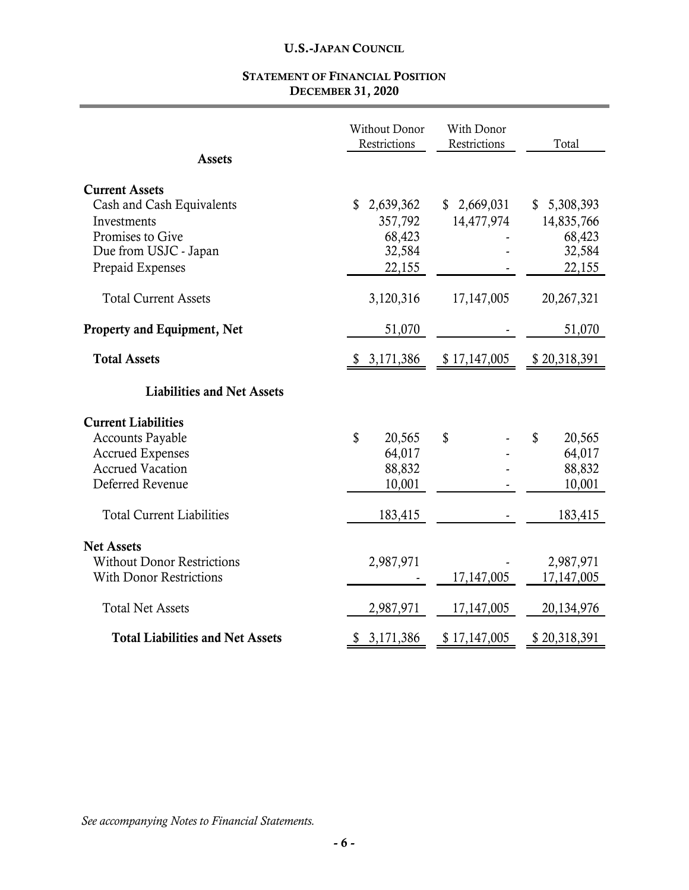## STATEMENT OF FINANCIAL POSITION DECEMBER 31, 2020

<span id="page-5-0"></span>

|                                             | Without Donor<br>Restrictions | With Donor<br>Restrictions |                             |
|---------------------------------------------|-------------------------------|----------------------------|-----------------------------|
| <b>Assets</b>                               |                               |                            |                             |
| <b>Current Assets</b>                       |                               |                            |                             |
| Cash and Cash Equivalents                   | \$2,639,362                   | \$2,669,031                | 5,308,393<br>$\mathbb{S}^-$ |
| Investments                                 | 357,792                       | 14,477,974                 | 14,835,766                  |
| Promises to Give<br>Due from USJC - Japan   | 68,423<br>32,584              |                            | 68,423<br>32,584            |
| Prepaid Expenses                            | 22,155                        |                            | 22,155                      |
| <b>Total Current Assets</b>                 | 3,120,316                     | 17,147,005                 | 20,267,321                  |
| Property and Equipment, Net                 | 51,070                        |                            | 51,070                      |
| <b>Total Assets</b>                         | \$3,171,386                   | \$17,147,005               | \$20,318,391                |
| <b>Liabilities and Net Assets</b>           |                               |                            |                             |
| <b>Current Liabilities</b>                  |                               |                            |                             |
| <b>Accounts Payable</b>                     | $\mathbf S$<br>20,565         | \$                         | \$<br>20,565                |
| <b>Accrued Expenses</b>                     | 64,017                        |                            | 64,017                      |
| <b>Accrued Vacation</b><br>Deferred Revenue | 88,832<br>10,001              |                            | 88,832<br>10,001            |
|                                             |                               |                            |                             |
| <b>Total Current Liabilities</b>            | 183,415                       |                            | 183,415                     |
| <b>Net Assets</b>                           |                               |                            |                             |
| <b>Without Donor Restrictions</b>           | 2,987,971                     |                            | 2,987,971                   |
| <b>With Donor Restrictions</b>              |                               | 17,147,005                 | 17,147,005                  |
| <b>Total Net Assets</b>                     | 2,987,971                     | 17, 147, 005               | 20,134,976                  |
| <b>Total Liabilities and Net Assets</b>     | \$3,171,386                   | \$17,147,005               | \$20,318,391                |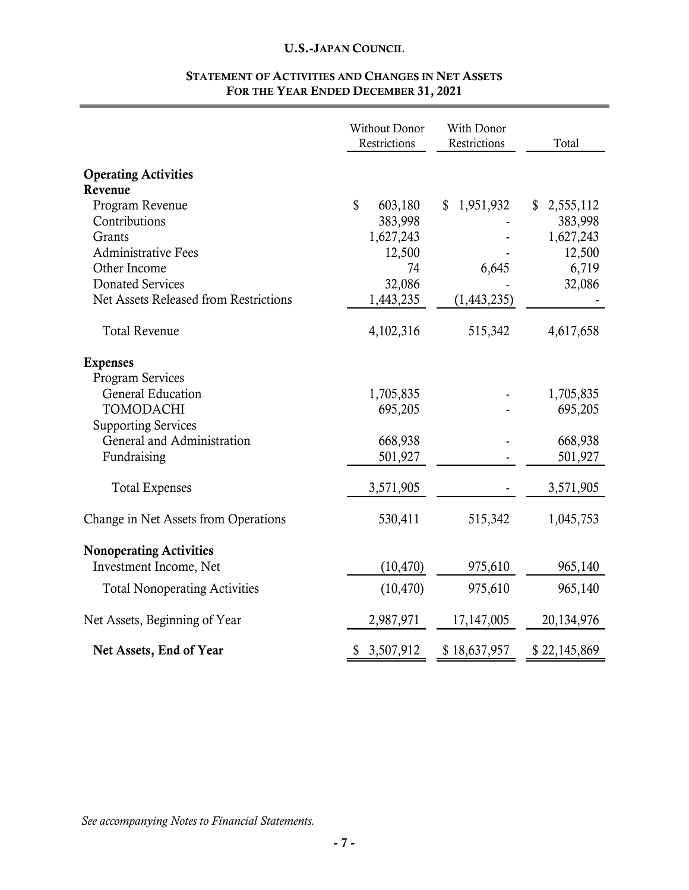## STATEMENT OF ACTIVITIES AND CHANGES IN NET ASSETS FOR THE YEAR ENDED DECEMBER 31, 2021

<span id="page-6-0"></span>

|                                       | Without Donor<br>Restrictions | With Donor<br>Restrictions |                           |
|---------------------------------------|-------------------------------|----------------------------|---------------------------|
| <b>Operating Activities</b>           |                               |                            |                           |
| Revenue                               |                               |                            |                           |
| Program Revenue                       | \$<br>603,180                 | 1,951,932<br>\$            | 2,555,112<br>$\mathbb{S}$ |
| Contributions                         | 383,998                       |                            | 383,998                   |
| Grants                                | 1,627,243                     |                            | 1,627,243                 |
| <b>Administrative Fees</b>            | 12,500                        |                            | 12,500                    |
| Other Income                          | 74                            | 6,645                      | 6,719                     |
| <b>Donated Services</b>               | 32,086                        |                            | 32,086                    |
| Net Assets Released from Restrictions | 1,443,235                     | (1,443,235)                |                           |
| <b>Total Revenue</b>                  | 4,102,316                     | 515,342                    | 4,617,658                 |
| <b>Expenses</b>                       |                               |                            |                           |
| <b>Program Services</b>               |                               |                            |                           |
| <b>General Education</b>              | 1,705,835                     |                            | 1,705,835                 |
| TOMODACHI                             | 695,205                       |                            | 695,205                   |
| <b>Supporting Services</b>            |                               |                            |                           |
| General and Administration            | 668,938                       |                            | 668,938                   |
| Fundraising                           | 501,927                       |                            | 501,927                   |
| <b>Total Expenses</b>                 | 3,571,905                     |                            | 3,571,905                 |
| Change in Net Assets from Operations  | 530,411                       | 515,342                    | 1,045,753                 |
| <b>Nonoperating Activities</b>        |                               |                            |                           |
| Investment Income, Net                | (10, 470)                     | 975,610                    | 965,140                   |
| <b>Total Nonoperating Activities</b>  | (10, 470)                     | 975,610                    | 965,140                   |
| Net Assets, Beginning of Year         | 2,987,971                     | 17, 147, 005               | 20,134,976                |
| Net Assets, End of Year               | \$3,507,912                   | \$18,637,957               | \$22,145,869              |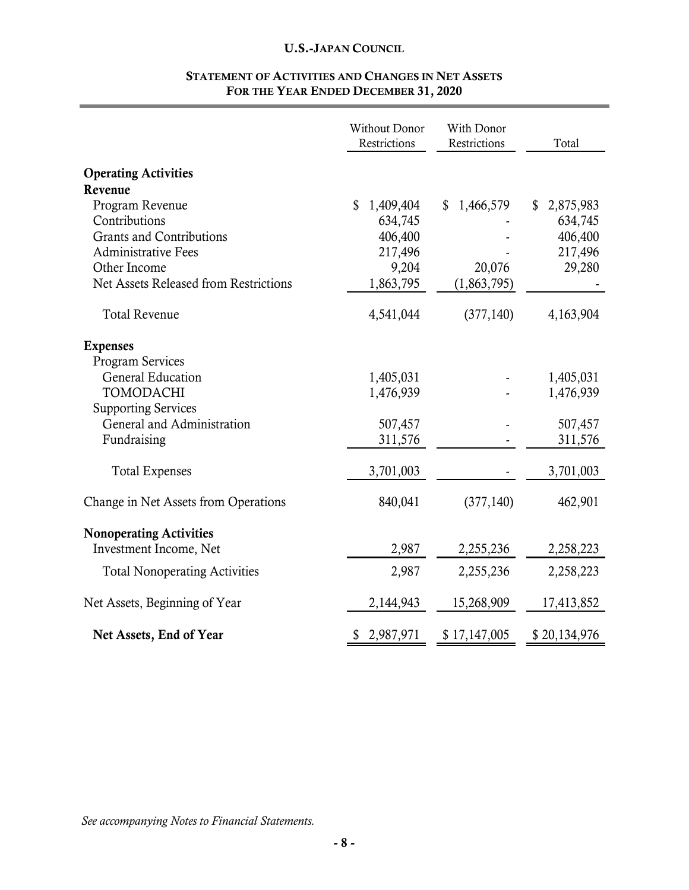## STATEMENT OF ACTIVITIES AND CHANGES IN NET ASSETS FOR THE YEAR ENDED DECEMBER 31, 2020

<span id="page-7-0"></span>

|                                              | Without Donor<br>Restrictions | With Donor<br>Restrictions | Total           |
|----------------------------------------------|-------------------------------|----------------------------|-----------------|
| <b>Operating Activities</b>                  |                               |                            |                 |
| Revenue                                      |                               |                            |                 |
| Program Revenue                              | \$<br>1,409,404               | 1,466,579<br>\$            | 2,875,983<br>\$ |
| Contributions                                | 634,745                       |                            | 634,745         |
| <b>Grants and Contributions</b>              | 406,400                       |                            | 406,400         |
| <b>Administrative Fees</b>                   | 217,496                       |                            | 217,496         |
| Other Income                                 | 9,204                         | 20,076                     | 29,280          |
| <b>Net Assets Released from Restrictions</b> | 1,863,795                     | (1,863,795)                |                 |
| <b>Total Revenue</b>                         | 4,541,044                     | (377, 140)                 | 4,163,904       |
| <b>Expenses</b>                              |                               |                            |                 |
| Program Services                             |                               |                            |                 |
| General Education                            | 1,405,031                     |                            | 1,405,031       |
| <b>TOMODACHI</b>                             | 1,476,939                     |                            | 1,476,939       |
| <b>Supporting Services</b>                   |                               |                            |                 |
| General and Administration                   | 507,457                       |                            | 507,457         |
| Fundraising                                  | 311,576                       |                            | 311,576         |
| <b>Total Expenses</b>                        | 3,701,003                     |                            | 3,701,003       |
| Change in Net Assets from Operations         | 840,041                       | (377, 140)                 | 462,901         |
| <b>Nonoperating Activities</b>               |                               |                            |                 |
| Investment Income, Net                       | 2,987                         | 2,255,236                  | 2,258,223       |
| <b>Total Nonoperating Activities</b>         | 2,987                         | 2,255,236                  | 2,258,223       |
| Net Assets, Beginning of Year                | 2,144,943                     | 15,268,909                 | 17,413,852      |
| Net Assets, End of Year                      | 2,987,971                     | \$17,147,005               | \$20,134,976    |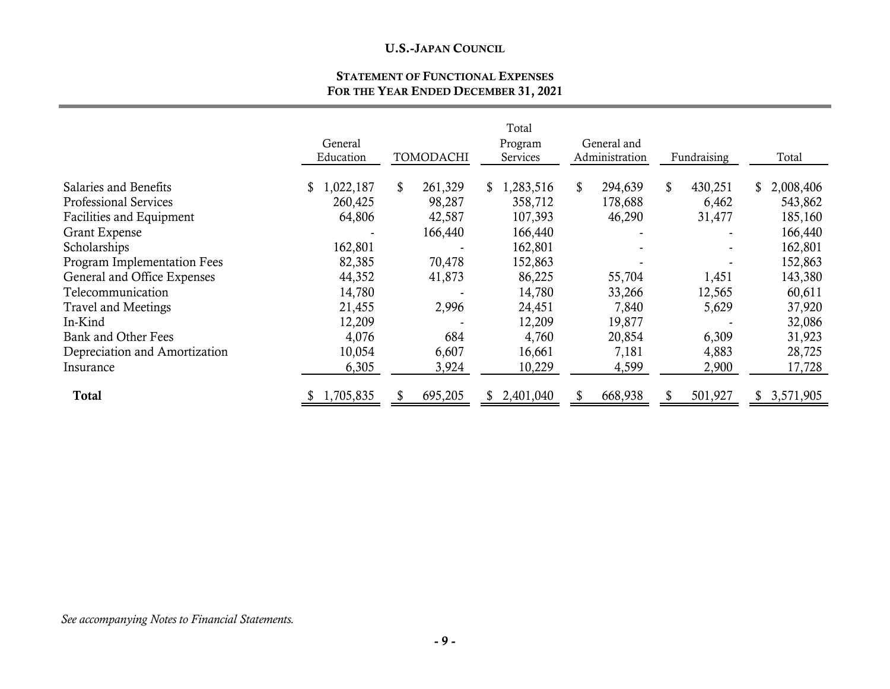## STATEMENT OF FUNCTIONAL EXPENSES FOR THE YEAR ENDED DECEMBER 31, 2021

<span id="page-8-0"></span>

|                               | General<br>Education | TOMODACHI     | Total<br>Program<br>Services | General and<br>Administration | Fundraising   | Total       |
|-------------------------------|----------------------|---------------|------------------------------|-------------------------------|---------------|-------------|
| Salaries and Benefits         | 1,022,187<br>\$      | 261,329<br>S. | 1,283,516<br><sup>\$</sup>   | \$<br>294,639                 | 430,251<br>S. | \$2,008,406 |
| <b>Professional Services</b>  | 260,425              | 98,287        | 358,712                      | 178,688                       | 6,462         | 543,862     |
| Facilities and Equipment      | 64,806               | 42,587        | 107,393                      | 46,290                        | 31,477        | 185,160     |
| <b>Grant Expense</b>          |                      | 166,440       | 166,440                      |                               |               | 166,440     |
| Scholarships                  | 162,801              |               | 162,801                      |                               |               | 162,801     |
| Program Implementation Fees   | 82,385               | 70,478        | 152,863                      |                               |               | 152,863     |
| General and Office Expenses   | 44,352               | 41,873        | 86,225                       | 55,704                        | 1,451         | 143,380     |
| Telecommunication             | 14,780               |               | 14,780                       | 33,266                        | 12,565        | 60,611      |
| <b>Travel and Meetings</b>    | 21,455               | 2,996         | 24,451                       | 7,840                         | 5,629         | 37,920      |
| In-Kind                       | 12,209               |               | 12,209                       | 19,877                        |               | 32,086      |
| Bank and Other Fees           | 4,076                | 684           | 4,760                        | 20,854                        | 6,309         | 31,923      |
| Depreciation and Amortization | 10,054               | 6,607         | 16,661                       | 7,181                         | 4,883         | 28,725      |
| Insurance                     | 6,305                | 3,924         | 10,229                       | 4,599                         | 2,900         | 17,728      |
| <b>Total</b>                  | 1,705,835            | 695,205       | 2,401,040                    | 668,938                       | 501,927       | 3,571,905   |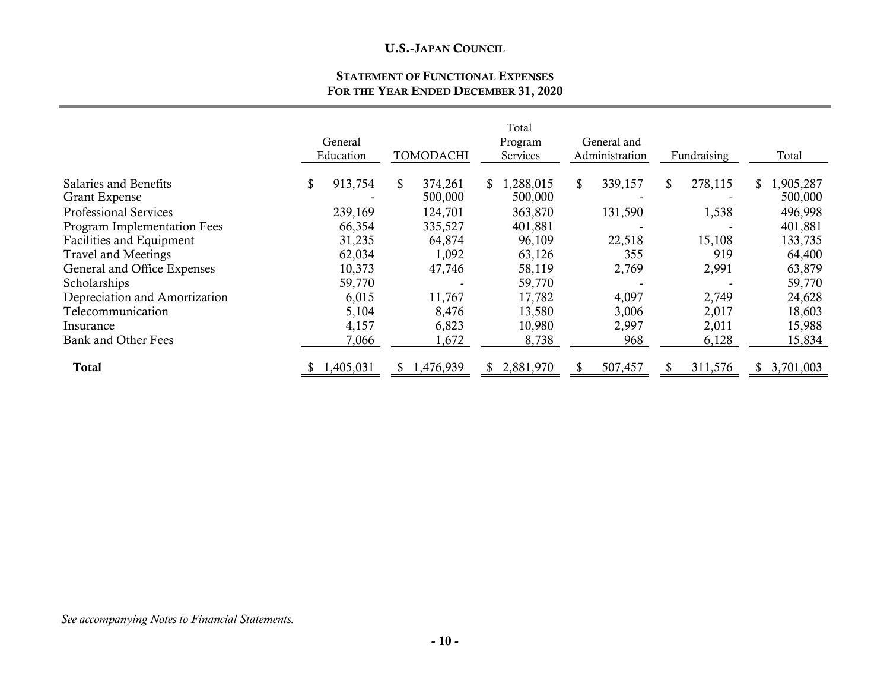## STATEMENT OF FUNCTIONAL EXPENSES FOR THE YEAR ENDED DECEMBER 31, 2020

<span id="page-9-0"></span>

|                                                                        |   | <b>General</b><br>Education |    | TOMODACHI                     |    | Total<br>Program<br>Services   | General and<br>Administration |    | Fundraising      |    | Total                           |
|------------------------------------------------------------------------|---|-----------------------------|----|-------------------------------|----|--------------------------------|-------------------------------|----|------------------|----|---------------------------------|
| Salaries and Benefits<br>Grant Expense<br><b>Professional Services</b> | S | 913,754<br>239,169          | S. | 374,261<br>500,000<br>124,701 | \$ | ,288,015<br>500,000<br>363,870 | \$<br>339,157<br>131,590      | S. | 278,115<br>1,538 | S. | 1,905,287<br>500,000<br>496,998 |
| Program Implementation Fees                                            |   | 66,354                      |    | 335,527                       |    | 401,881                        |                               |    |                  |    | 401,881                         |
| Facilities and Equipment<br><b>Travel and Meetings</b>                 |   | 31,235<br>62,034            |    | 64,874<br>1,092               |    | 96,109<br>63,126               | 22,518<br>355                 |    | 15,108<br>919    |    | 133,735<br>64,400               |
| General and Office Expenses                                            |   | 10,373                      |    | 47,746                        |    | 58,119                         | 2,769                         |    | 2,991            |    | 63,879                          |
| Scholarships<br>Depreciation and Amortization                          |   | 59,770<br>6,015             |    | 11,767                        |    | 59,770<br>17,782               | 4,097                         |    | 2,749            |    | 59,770<br>24,628                |
| Telecommunication<br>Insurance                                         |   | 5,104<br>4,157              |    | 8,476<br>6,823                |    | 13,580<br>10,980               | 3,006<br>2,997                |    | 2,017<br>2,011   |    | 18,603<br>15,988                |
| Bank and Other Fees                                                    |   | 7,066                       |    | 1,672                         |    | 8,738                          | 968                           |    | 6,128            |    | 15,834                          |
| <b>Total</b>                                                           |   | 1,405,031                   |    | 1,476,939                     | S. | 2,881,970                      | 507,457                       |    | 311,576          | S. | 3,701,003                       |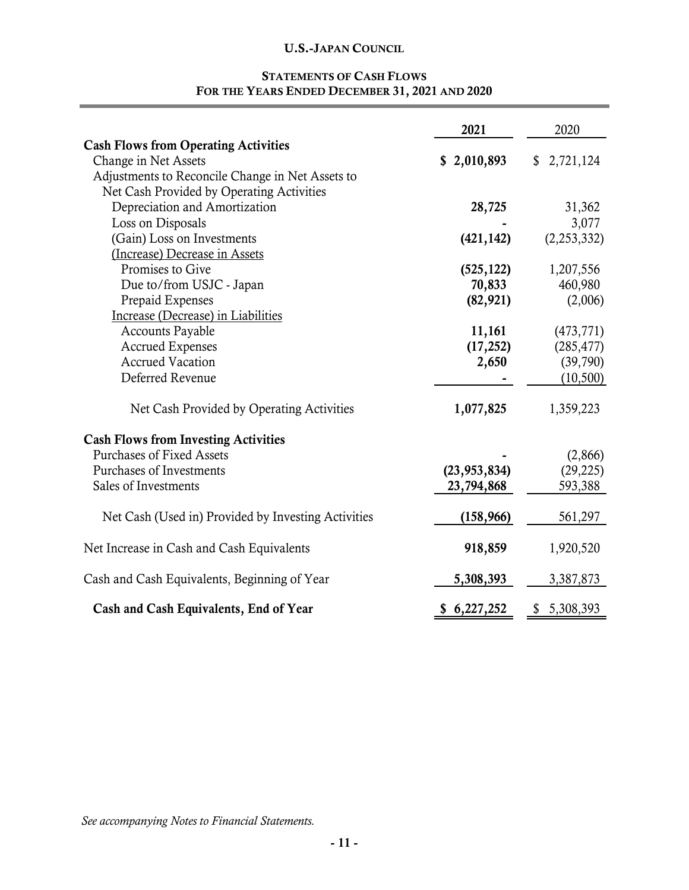## STATEMENTS OF CASH FLOWS FOR THE YEARS ENDED DECEMBER 31, 2021 AND 2020

<span id="page-10-0"></span>

|                                                     | 2021           | 2020                      |
|-----------------------------------------------------|----------------|---------------------------|
| <b>Cash Flows from Operating Activities</b>         |                |                           |
| Change in Net Assets                                | \$2,010,893    | 2,721,124<br>$\mathbb{S}$ |
| Adjustments to Reconcile Change in Net Assets to    |                |                           |
| Net Cash Provided by Operating Activities           |                |                           |
| Depreciation and Amortization                       | 28,725         | 31,362                    |
| Loss on Disposals                                   |                | 3,077                     |
| (Gain) Loss on Investments                          | (421, 142)     | (2,253,332)               |
| (Increase) Decrease in Assets                       |                |                           |
| Promises to Give                                    | (525, 122)     | 1,207,556                 |
| Due to/from USJC - Japan                            | 70,833         | 460,980                   |
| Prepaid Expenses                                    | (82, 921)      | (2,006)                   |
| Increase (Decrease) in Liabilities                  |                |                           |
| <b>Accounts Payable</b>                             | 11,161         | (473, 771)                |
| <b>Accrued Expenses</b>                             | (17, 252)      | (285, 477)                |
| <b>Accrued Vacation</b>                             | 2,650          | (39,790)                  |
| Deferred Revenue                                    |                | (10, 500)                 |
|                                                     |                |                           |
| Net Cash Provided by Operating Activities           | 1,077,825      | 1,359,223                 |
| <b>Cash Flows from Investing Activities</b>         |                |                           |
| <b>Purchases of Fixed Assets</b>                    |                | (2,866)                   |
| Purchases of Investments                            | (23, 953, 834) | (29, 225)                 |
| Sales of Investments                                | 23,794,868     | 593,388                   |
|                                                     |                |                           |
| Net Cash (Used in) Provided by Investing Activities | (158, 966)     | 561,297                   |
| Net Increase in Cash and Cash Equivalents           | 918,859        | 1,920,520                 |
| Cash and Cash Equivalents, Beginning of Year        | 5,308,393      | 3,387,873                 |
| Cash and Cash Equivalents, End of Year              | \$6,227,252    | \$5,308,393               |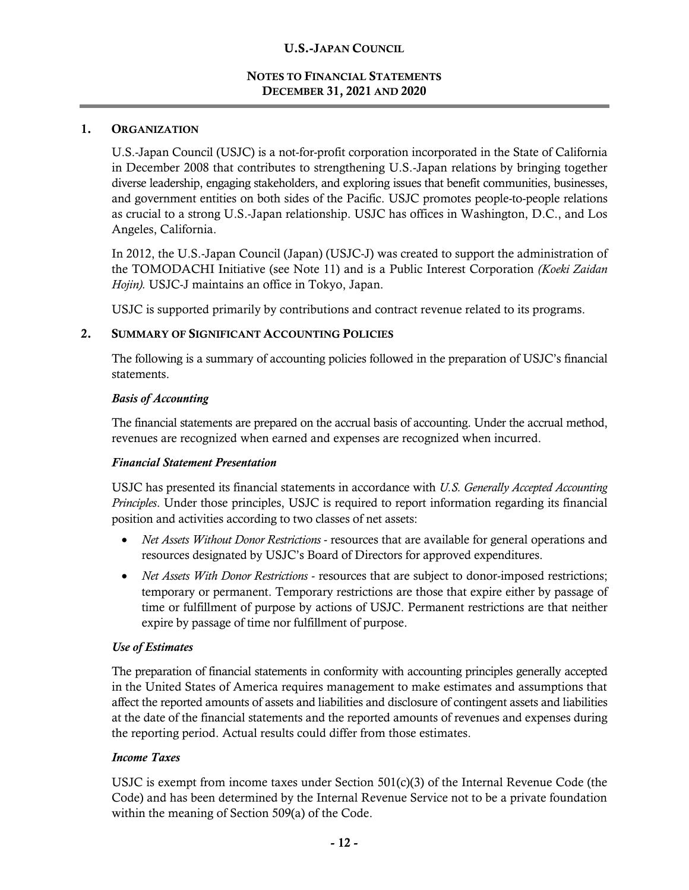## NOTES TO FINANCIAL STATEMENTS DECEMBER 31, 2021 AND 2020

### <span id="page-11-0"></span>1. ORGANIZATION

U.S.-Japan Council (USJC) is a not-for-profit corporation incorporated in the State of California in December 2008 that contributes to strengthening U.S.-Japan relations by bringing together diverse leadership, engaging stakeholders, and exploring issues that benefit communities, businesses, and government entities on both sides of the Pacific. USJC promotes people-to-people relations as crucial to a strong U.S.-Japan relationship. USJC has offices in Washington, D.C., and Los Angeles, California.

In 2012, the U.S.-Japan Council (Japan) (USJC-J) was created to support the administration of the TOMODACHI Initiative (see Note 11) and is a Public Interest Corporation *(Koeki Zaidan Hojin).* USJC-J maintains an office in Tokyo, Japan.

USJC is supported primarily by contributions and contract revenue related to its programs.

### 2. SUMMARY OF SIGNIFICANT ACCOUNTING POLICIES

The following is a summary of accounting policies followed in the preparation of USJC's financial statements.

### *Basis of Accounting*

The financial statements are prepared on the accrual basis of accounting. Under the accrual method, revenues are recognized when earned and expenses are recognized when incurred.

#### *Financial Statement Presentation*

USJC has presented its financial statements in accordance with *U.S. Generally Accepted Accounting Principles*. Under those principles, USJC is required to report information regarding its financial position and activities according to two classes of net assets:

- *Net Assets Without Donor Restrictions* resources that are available for general operations and resources designated by USJC's Board of Directors for approved expenditures.
- *Net Assets With Donor Restrictions* resources that are subject to donor-imposed restrictions; temporary or permanent. Temporary restrictions are those that expire either by passage of time or fulfillment of purpose by actions of USJC. Permanent restrictions are that neither expire by passage of time nor fulfillment of purpose.

## *Use of Estimates*

The preparation of financial statements in conformity with accounting principles generally accepted in the United States of America requires management to make estimates and assumptions that affect the reported amounts of assets and liabilities and disclosure of contingent assets and liabilities at the date of the financial statements and the reported amounts of revenues and expenses during the reporting period. Actual results could differ from those estimates.

#### *Income Taxes*

USJC is exempt from income taxes under Section  $501(c)(3)$  of the Internal Revenue Code (the Code) and has been determined by the Internal Revenue Service not to be a private foundation within the meaning of Section 509(a) of the Code.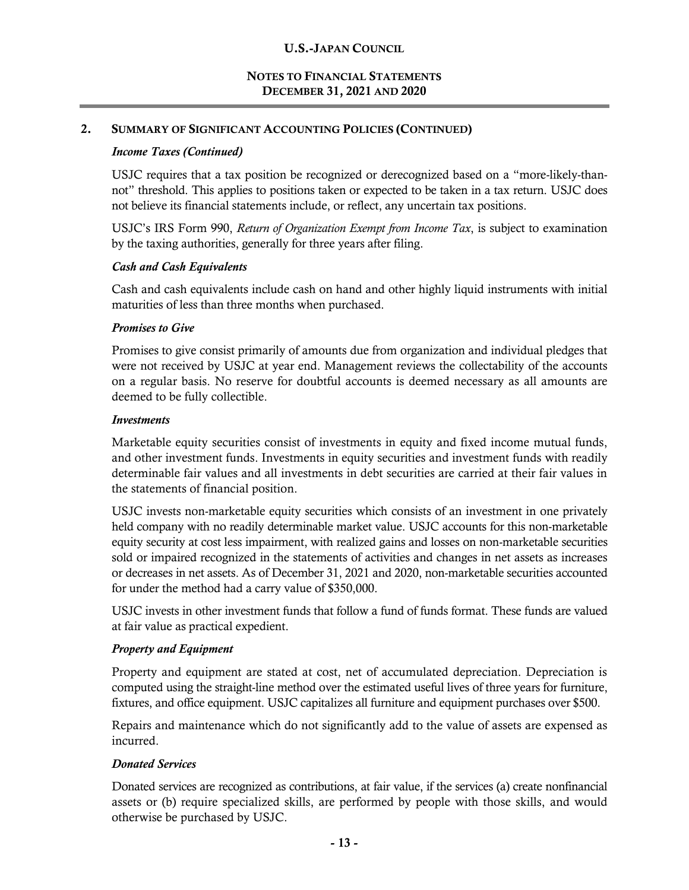### 2. SUMMARY OF SIGNIFICANT ACCOUNTING POLICIES (CONTINUED)

### *Income Taxes (Continued)*

USJC requires that a tax position be recognized or derecognized based on a "more-likely-thannot" threshold. This applies to positions taken or expected to be taken in a tax return. USJC does not believe its financial statements include, or reflect, any uncertain tax positions.

USJC's IRS Form 990, *Return of Organization Exempt from Income Tax*, is subject to examination by the taxing authorities, generally for three years after filing.

### *Cash and Cash Equivalents*

Cash and cash equivalents include cash on hand and other highly liquid instruments with initial maturities of less than three months when purchased.

### *Promises to Give*

Promises to give consist primarily of amounts due from organization and individual pledges that were not received by USJC at year end. Management reviews the collectability of the accounts on a regular basis. No reserve for doubtful accounts is deemed necessary as all amounts are deemed to be fully collectible.

#### *Investments*

Marketable equity securities consist of investments in equity and fixed income mutual funds, and other investment funds. Investments in equity securities and investment funds with readily determinable fair values and all investments in debt securities are carried at their fair values in the statements of financial position.

USJC invests non-marketable equity securities which consists of an investment in one privately held company with no readily determinable market value. USJC accounts for this non-marketable equity security at cost less impairment, with realized gains and losses on non-marketable securities sold or impaired recognized in the statements of activities and changes in net assets as increases or decreases in net assets. As of December 31, 2021 and 2020, non-marketable securities accounted for under the method had a carry value of \$350,000.

USJC invests in other investment funds that follow a fund of funds format. These funds are valued at fair value as practical expedient.

## *Property and Equipment*

Property and equipment are stated at cost, net of accumulated depreciation. Depreciation is computed using the straight-line method over the estimated useful lives of three years for furniture, fixtures, and office equipment. USJC capitalizes all furniture and equipment purchases over \$500.

Repairs and maintenance which do not significantly add to the value of assets are expensed as incurred.

## *Donated Services*

Donated services are recognized as contributions, at fair value, if the services (a) create nonfinancial assets or (b) require specialized skills, are performed by people with those skills, and would otherwise be purchased by USJC.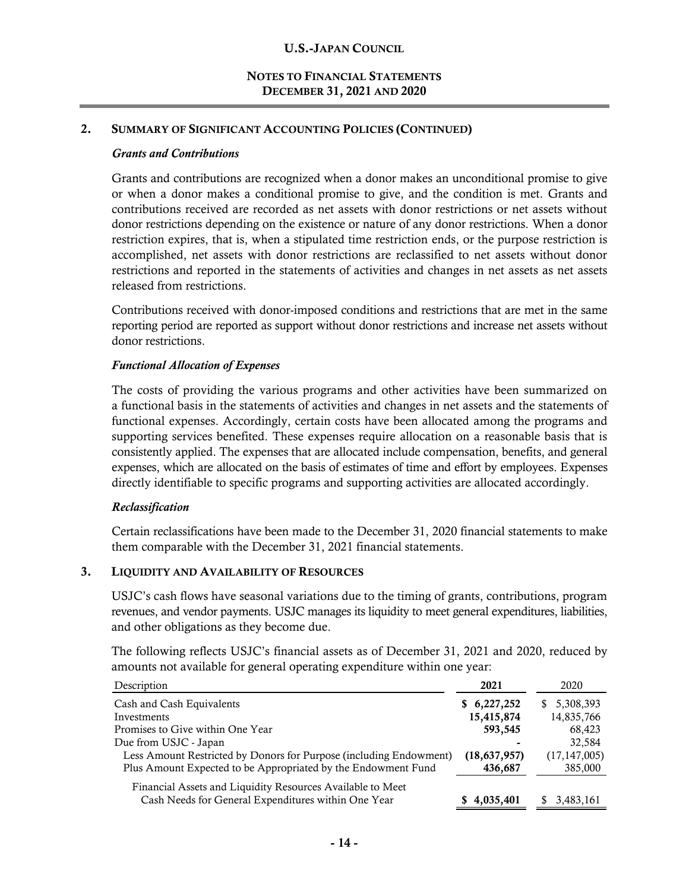## NOTES TO FINANCIAL STATEMENTS DECEMBER 31, 2021 AND 2020

### 2. SUMMARY OF SIGNIFICANT ACCOUNTING POLICIES (CONTINUED)

#### *Grants and Contributions*

Grants and contributions are recognized when a donor makes an unconditional promise to give or when a donor makes a conditional promise to give, and the condition is met. Grants and contributions received are recorded as net assets with donor restrictions or net assets without donor restrictions depending on the existence or nature of any donor restrictions. When a donor restriction expires, that is, when a stipulated time restriction ends, or the purpose restriction is accomplished, net assets with donor restrictions are reclassified to net assets without donor restrictions and reported in the statements of activities and changes in net assets as net assets released from restrictions.

Contributions received with donor-imposed conditions and restrictions that are met in the same reporting period are reported as support without donor restrictions and increase net assets without donor restrictions.

#### *Functional Allocation of Expenses*

The costs of providing the various programs and other activities have been summarized on a functional basis in the statements of activities and changes in net assets and the statements of functional expenses. Accordingly, certain costs have been allocated among the programs and supporting services benefited. These expenses require allocation on a reasonable basis that is consistently applied. The expenses that are allocated include compensation, benefits, and general expenses, which are allocated on the basis of estimates of time and effort by employees. Expenses directly identifiable to specific programs and supporting activities are allocated accordingly.

#### *Reclassification*

Certain reclassifications have been made to the December 31, 2020 financial statements to make them comparable with the December 31, 2021 financial statements.

### 3. LIQUIDITY AND AVAILABILITY OF RESOURCES

USJC's cash flows have seasonal variations due to the timing of grants, contributions, program revenues, and vendor payments. USJC manages its liquidity to meet general expenditures, liabilities, and other obligations as they become due.

The following reflects USJC's financial assets as of December 31, 2021 and 2020, reduced by amounts not available for general operating expenditure within one year:

| Description                                                        | 2021           | 2020            |
|--------------------------------------------------------------------|----------------|-----------------|
| Cash and Cash Equivalents                                          | \$6,227,252    | \$5,308,393     |
| Investments                                                        | 15,415,874     | 14,835,766      |
| Promises to Give within One Year                                   | 593,545        | 68,423          |
| Due from USJC - Japan                                              |                | 32,584          |
| Less Amount Restricted by Donors for Purpose (including Endowment) | (18, 637, 957) | (17, 147, 005)  |
| Plus Amount Expected to be Appropriated by the Endowment Fund      | 436,687        | 385,000         |
| Financial Assets and Liquidity Resources Available to Meet         |                |                 |
| Cash Needs for General Expenditures within One Year                | 4,035,401      | 3,483,161<br>S. |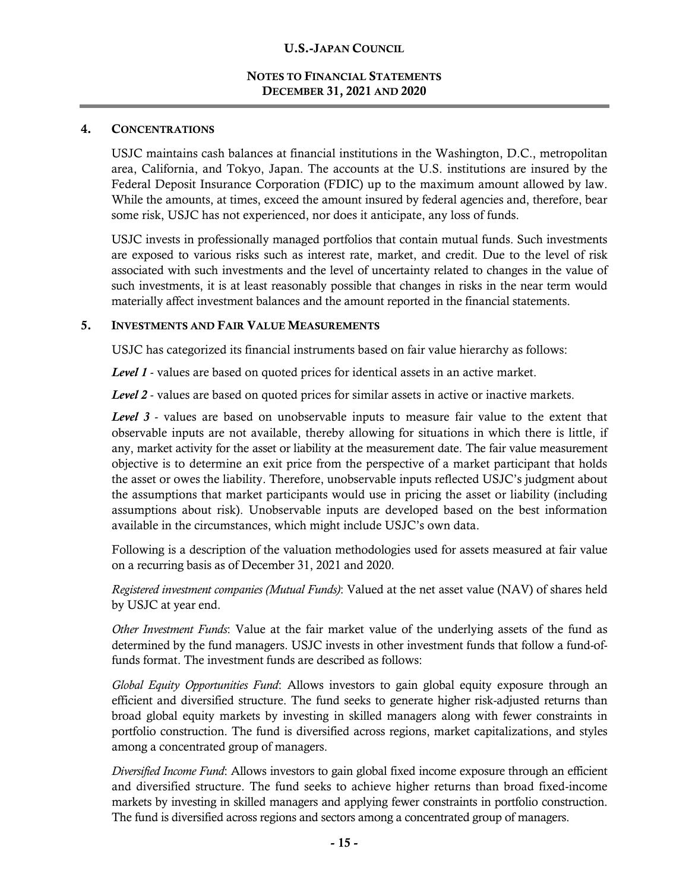## NOTES TO FINANCIAL STATEMENTS DECEMBER 31, 2021 AND 2020

#### 4. CONCENTRATIONS

USJC maintains cash balances at financial institutions in the Washington, D.C., metropolitan area, California, and Tokyo, Japan. The accounts at the U.S. institutions are insured by the Federal Deposit Insurance Corporation (FDIC) up to the maximum amount allowed by law. While the amounts, at times, exceed the amount insured by federal agencies and, therefore, bear some risk, USJC has not experienced, nor does it anticipate, any loss of funds.

USJC invests in professionally managed portfolios that contain mutual funds. Such investments are exposed to various risks such as interest rate, market, and credit. Due to the level of risk associated with such investments and the level of uncertainty related to changes in the value of such investments, it is at least reasonably possible that changes in risks in the near term would materially affect investment balances and the amount reported in the financial statements.

#### 5. INVESTMENTS AND FAIR VALUE MEASUREMENTS

USJC has categorized its financial instruments based on fair value hierarchy as follows:

*Level 1* - values are based on quoted prices for identical assets in an active market.

*Level 2* - values are based on quoted prices for similar assets in active or inactive markets.

*Level 3* - values are based on unobservable inputs to measure fair value to the extent that observable inputs are not available, thereby allowing for situations in which there is little, if any, market activity for the asset or liability at the measurement date. The fair value measurement objective is to determine an exit price from the perspective of a market participant that holds the asset or owes the liability. Therefore, unobservable inputs reflected USJC's judgment about the assumptions that market participants would use in pricing the asset or liability (including assumptions about risk). Unobservable inputs are developed based on the best information available in the circumstances, which might include USJC's own data.

Following is a description of the valuation methodologies used for assets measured at fair value on a recurring basis as of December 31, 2021 and 2020.

*Registered investment companies (Mutual Funds)*: Valued at the net asset value (NAV) of shares held by USJC at year end.

*Other Investment Funds*: Value at the fair market value of the underlying assets of the fund as determined by the fund managers. USJC invests in other investment funds that follow a fund-offunds format. The investment funds are described as follows:

*Global Equity Opportunities Fund*: Allows investors to gain global equity exposure through an efficient and diversified structure. The fund seeks to generate higher risk-adjusted returns than broad global equity markets by investing in skilled managers along with fewer constraints in portfolio construction. The fund is diversified across regions, market capitalizations, and styles among a concentrated group of managers.

*Diversified Income Fund*: Allows investors to gain global fixed income exposure through an efficient and diversified structure. The fund seeks to achieve higher returns than broad fixed-income markets by investing in skilled managers and applying fewer constraints in portfolio construction. The fund is diversified across regions and sectors among a concentrated group of managers.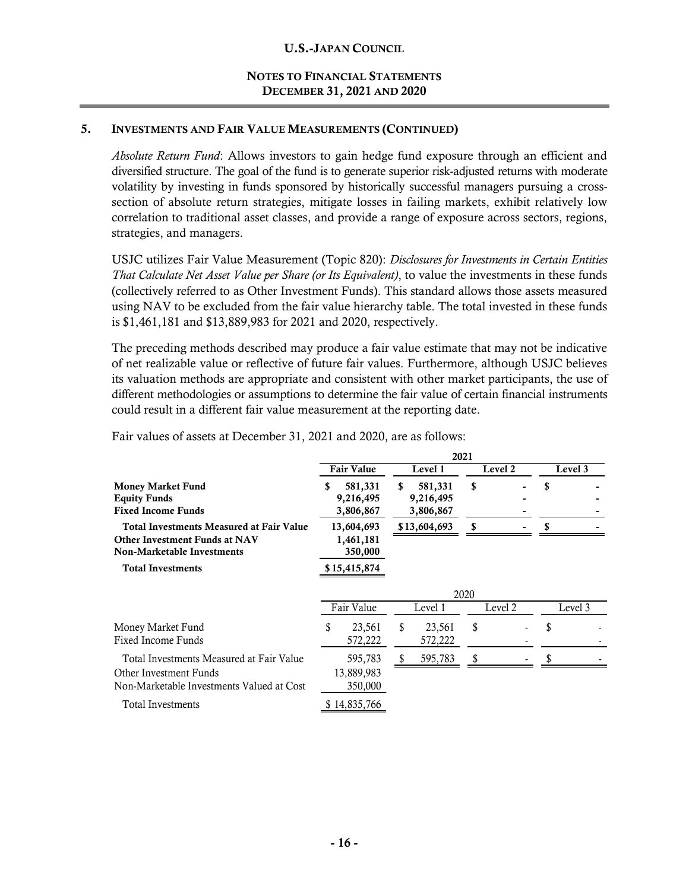## NOTES TO FINANCIAL STATEMENTS DECEMBER 31, 2021 AND 2020

### 5. INVESTMENTS AND FAIR VALUE MEASUREMENTS (CONTINUED)

*Absolute Return Fund*: Allows investors to gain hedge fund exposure through an efficient and diversified structure. The goal of the fund is to generate superior risk-adjusted returns with moderate volatility by investing in funds sponsored by historically successful managers pursuing a crosssection of absolute return strategies, mitigate losses in failing markets, exhibit relatively low correlation to traditional asset classes, and provide a range of exposure across sectors, regions, strategies, and managers.

USJC utilizes Fair Value Measurement (Topic 820): *Disclosures for Investments in Certain Entities That Calculate Net Asset Value per Share (or Its Equivalent)*, to value the investments in these funds (collectively referred to as Other Investment Funds). This standard allows those assets measured using NAV to be excluded from the fair value hierarchy table. The total invested in these funds is \$1,461,181 and \$13,889,983 for 2021 and 2020, respectively.

The preceding methods described may produce a fair value estimate that may not be indicative of net realizable value or reflective of future fair values. Furthermore, although USJC believes its valuation methods are appropriate and consistent with other market participants, the use of different methodologies or assumptions to determine the fair value of certain financial instruments could result in a different fair value measurement at the reporting date.

|                                                                                                                              | 2021 |                                    |     |                                   |      |         |         |         |
|------------------------------------------------------------------------------------------------------------------------------|------|------------------------------------|-----|-----------------------------------|------|---------|---------|---------|
|                                                                                                                              |      | <b>Fair Value</b>                  |     | Level 1                           |      | Level 2 | Level 3 |         |
| <b>Money Market Fund</b><br><b>Equity Funds</b><br><b>Fixed Income Funds</b>                                                 | S    | 581,331<br>9,216,495<br>3,806,867  | \$  | 581,331<br>9,216,495<br>3,806,867 | \$   |         | \$      |         |
| <b>Total Investments Measured at Fair Value</b><br><b>Other Investment Funds at NAV</b><br><b>Non-Marketable Investments</b> |      | 13,604,693<br>1,461,181<br>350,000 |     | \$13,604,693                      | \$   |         |         |         |
| <b>Total Investments</b>                                                                                                     |      | \$15,415,874                       |     |                                   |      |         |         |         |
|                                                                                                                              |      |                                    |     |                                   | 2020 |         |         |         |
|                                                                                                                              |      | Fair Value                         |     | Level 1                           |      | Level 2 |         | Level 3 |
| Money Market Fund<br>Fixed Income Funds                                                                                      | \$   | 23,561<br>572,222                  | \$. | 23,561<br>572,222                 | \$   |         | \$      |         |
| Total Investments Measured at Fair Value<br>Other Investment Funds<br>Non-Marketable Investments Valued at Cost              |      | 595,783<br>13,889,983<br>350,000   |     | 595,783                           |      |         |         |         |
| <b>Total Investments</b>                                                                                                     |      | \$14,835,766                       |     |                                   |      |         |         |         |

Fair values of assets at December 31, 2021 and 2020, are as follows: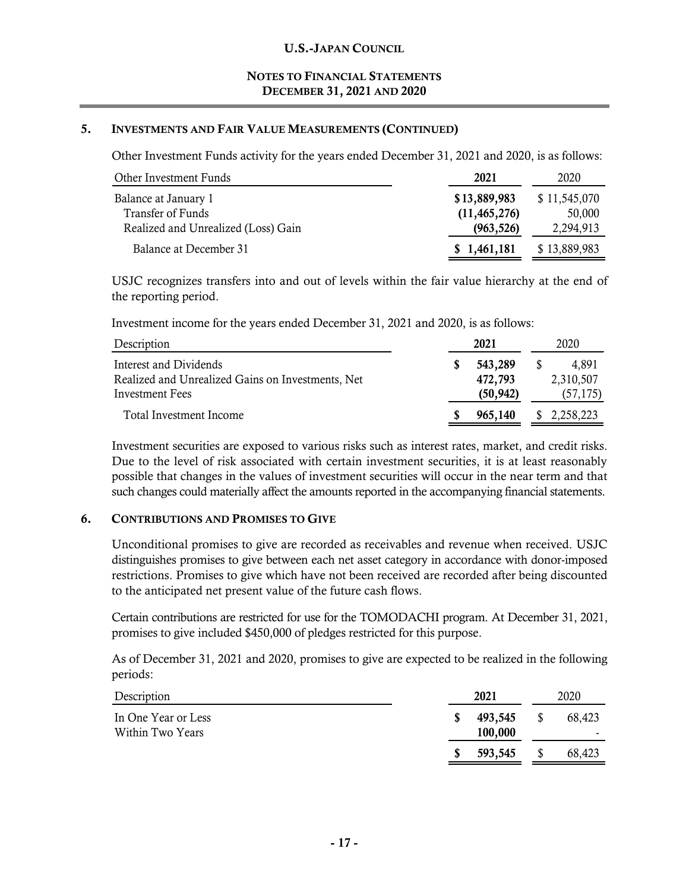### NOTES TO FINANCIAL STATEMENTS DECEMBER 31, 2021 AND 2020

### 5. INVESTMENTS AND FAIR VALUE MEASUREMENTS (CONTINUED)

Other Investment Funds activity for the years ended December 31, 2021 and 2020, is as follows:

| Other Investment Funds              | 2021           | 2020         |
|-------------------------------------|----------------|--------------|
| Balance at January 1                | \$13,889,983   | \$11,545,070 |
| Transfer of Funds                   | (11, 465, 276) | 50,000       |
| Realized and Unrealized (Loss) Gain | (963, 526)     | 2,294,913    |
| Balance at December 31              | \$1,461,181    | \$13,889,983 |

USJC recognizes transfers into and out of levels within the fair value hierarchy at the end of the reporting period.

Investment income for the years ended December 31, 2021 and 2020, is as follows:

| Description                                                                                    | 2021                            | 2020 |                                 |  |
|------------------------------------------------------------------------------------------------|---------------------------------|------|---------------------------------|--|
| Interest and Dividends<br>Realized and Unrealized Gains on Investments, Net<br>Investment Fees | 543,289<br>472,793<br>(50, 942) |      | 4.891<br>2,310,507<br>(57, 175) |  |
| Total Investment Income                                                                        | 965,140                         |      | \$2,258,223                     |  |

Investment securities are exposed to various risks such as interest rates, market, and credit risks. Due to the level of risk associated with certain investment securities, it is at least reasonably possible that changes in the values of investment securities will occur in the near term and that such changes could materially affect the amounts reported in the accompanying financial statements.

## 6. CONTRIBUTIONS AND PROMISES TO GIVE

Unconditional promises to give are recorded as receivables and revenue when received. USJC distinguishes promises to give between each net asset category in accordance with donor-imposed restrictions. Promises to give which have not been received are recorded after being discounted to the anticipated net present value of the future cash flows.

Certain contributions are restricted for use for the TOMODACHI program. At December 31, 2021, promises to give included \$450,000 of pledges restricted for this purpose.

As of December 31, 2021 and 2020, promises to give are expected to be realized in the following periods:

| Description                             | 2021 |                    |   | 2020   |  |
|-----------------------------------------|------|--------------------|---|--------|--|
| In One Year or Less<br>Within Two Years | \$   | 493,545<br>100,000 | S | 68.423 |  |
|                                         | S    | 593,545            |   | 68,423 |  |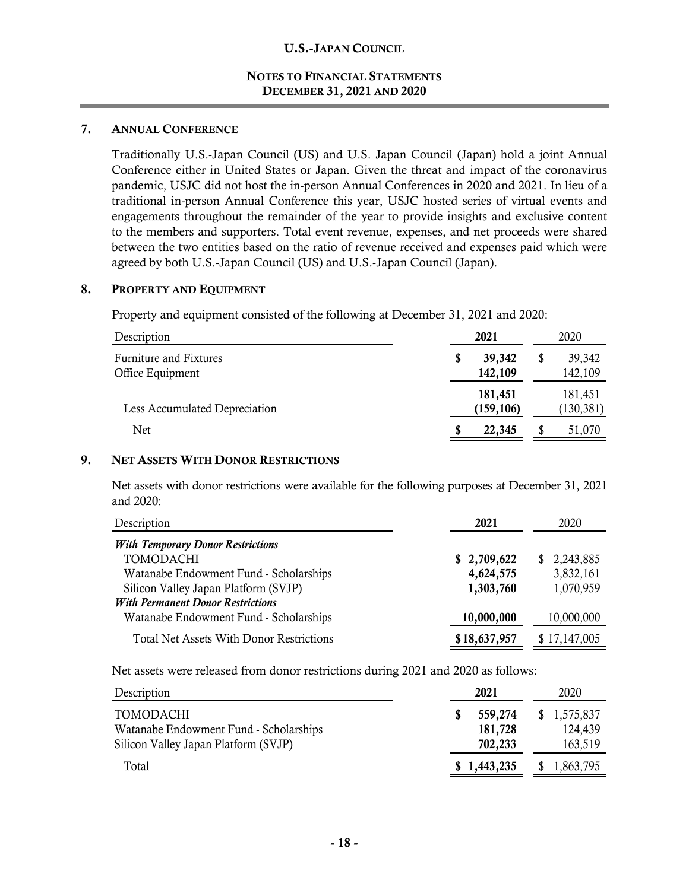## NOTES TO FINANCIAL STATEMENTS DECEMBER 31, 2021 AND 2020

### 7. ANNUAL CONFERENCE

Traditionally U.S.-Japan Council (US) and U.S. Japan Council (Japan) hold a joint Annual Conference either in United States or Japan. Given the threat and impact of the coronavirus pandemic, USJC did not host the in-person Annual Conferences in 2020 and 2021. In lieu of a traditional in-person Annual Conference this year, USJC hosted series of virtual events and engagements throughout the remainder of the year to provide insights and exclusive content to the members and supporters. Total event revenue, expenses, and net proceeds were shared between the two entities based on the ratio of revenue received and expenses paid which were agreed by both U.S.-Japan Council (US) and U.S.-Japan Council (Japan).

#### 8. PROPERTY AND EQUIPMENT

Property and equipment consisted of the following at December 31, 2021 and 2020:

| Description                                |   | 2021                  |  | 2020                  |  |
|--------------------------------------------|---|-----------------------|--|-----------------------|--|
| Furniture and Fixtures<br>Office Equipment | S | 39,342<br>142,109     |  | 39,342<br>142,109     |  |
| Less Accumulated Depreciation              |   | 181,451<br>(159, 106) |  | 181,451<br>(130, 381) |  |
| Net                                        |   | 22,345                |  | 51,070                |  |

## 9. NET ASSETS WITH DONOR RESTRICTIONS

Net assets with donor restrictions were available for the following purposes at December 31, 2021 and 2020:

| Description                                     | 2021         | 2020         |  |
|-------------------------------------------------|--------------|--------------|--|
| <b>With Temporary Donor Restrictions</b>        |              |              |  |
| TOMODACHI                                       | \$2,709,622  | \$2,243,885  |  |
| Watanabe Endowment Fund - Scholarships          | 4,624,575    | 3,832,161    |  |
| Silicon Valley Japan Platform (SVJP)            | 1,303,760    | 1,070,959    |  |
| <b>With Permanent Donor Restrictions</b>        |              |              |  |
| Watanabe Endowment Fund - Scholarships          | 10,000,000   | 10,000,000   |  |
| <b>Total Net Assets With Donor Restrictions</b> | \$18,637,957 | \$17,147,005 |  |

Net assets were released from donor restrictions during 2021 and 2020 as follows:

| Description                            | 2021        | 2020        |  |
|----------------------------------------|-------------|-------------|--|
| TOMODACHI                              | 559,274     | \$1,575,837 |  |
| Watanabe Endowment Fund - Scholarships | 181,728     | 124,439     |  |
| Silicon Valley Japan Platform (SVJP)   | 702,233     | 163,519     |  |
| Total                                  | \$1,443,235 | 1,863,795   |  |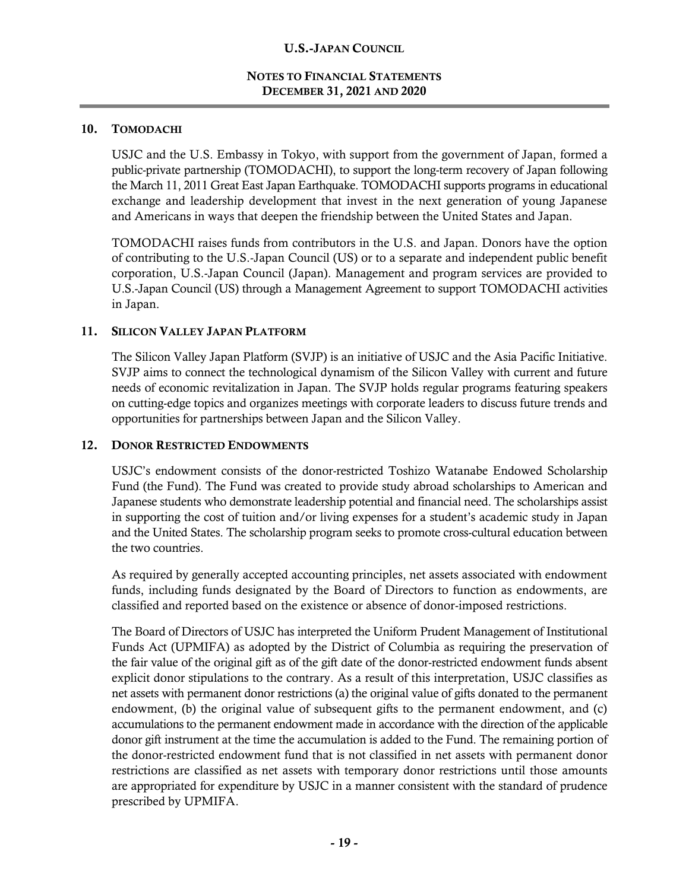## NOTES TO FINANCIAL STATEMENTS DECEMBER 31, 2021 AND 2020

### 10. TOMODACHI

USJC and the U.S. Embassy in Tokyo, with support from the government of Japan, formed a public-private partnership (TOMODACHI), to support the long-term recovery of Japan following the March 11, 2011 Great East Japan Earthquake. TOMODACHI supports programs in educational exchange and leadership development that invest in the next generation of young Japanese and Americans in ways that deepen the friendship between the United States and Japan.

TOMODACHI raises funds from contributors in the U.S. and Japan. Donors have the option of contributing to the U.S.-Japan Council (US) or to a separate and independent public benefit corporation, U.S.-Japan Council (Japan). Management and program services are provided to U.S.-Japan Council (US) through a Management Agreement to support TOMODACHI activities in Japan.

### 11. SILICON VALLEY JAPAN PLATFORM

The Silicon Valley Japan Platform (SVJP) is an initiative of USJC and the Asia Pacific Initiative. SVJP aims to connect the technological dynamism of the Silicon Valley with current and future needs of economic revitalization in Japan. The SVJP holds regular programs featuring speakers on cutting-edge topics and organizes meetings with corporate leaders to discuss future trends and opportunities for partnerships between Japan and the Silicon Valley.

### 12. DONOR RESTRICTED ENDOWMENTS

USJC's endowment consists of the donor-restricted Toshizo Watanabe Endowed Scholarship Fund (the Fund). The Fund was created to provide study abroad scholarships to American and Japanese students who demonstrate leadership potential and financial need. The scholarships assist in supporting the cost of tuition and/or living expenses for a student's academic study in Japan and the United States. The scholarship program seeks to promote cross-cultural education between the two countries.

As required by generally accepted accounting principles, net assets associated with endowment funds, including funds designated by the Board of Directors to function as endowments, are classified and reported based on the existence or absence of donor-imposed restrictions.

The Board of Directors of USJC has interpreted the Uniform Prudent Management of Institutional Funds Act (UPMIFA) as adopted by the District of Columbia as requiring the preservation of the fair value of the original gift as of the gift date of the donor-restricted endowment funds absent explicit donor stipulations to the contrary. As a result of this interpretation, USJC classifies as net assets with permanent donor restrictions (a) the original value of gifts donated to the permanent endowment, (b) the original value of subsequent gifts to the permanent endowment, and (c) accumulations to the permanent endowment made in accordance with the direction of the applicable donor gift instrument at the time the accumulation is added to the Fund. The remaining portion of the donor-restricted endowment fund that is not classified in net assets with permanent donor restrictions are classified as net assets with temporary donor restrictions until those amounts are appropriated for expenditure by USJC in a manner consistent with the standard of prudence prescribed by UPMIFA.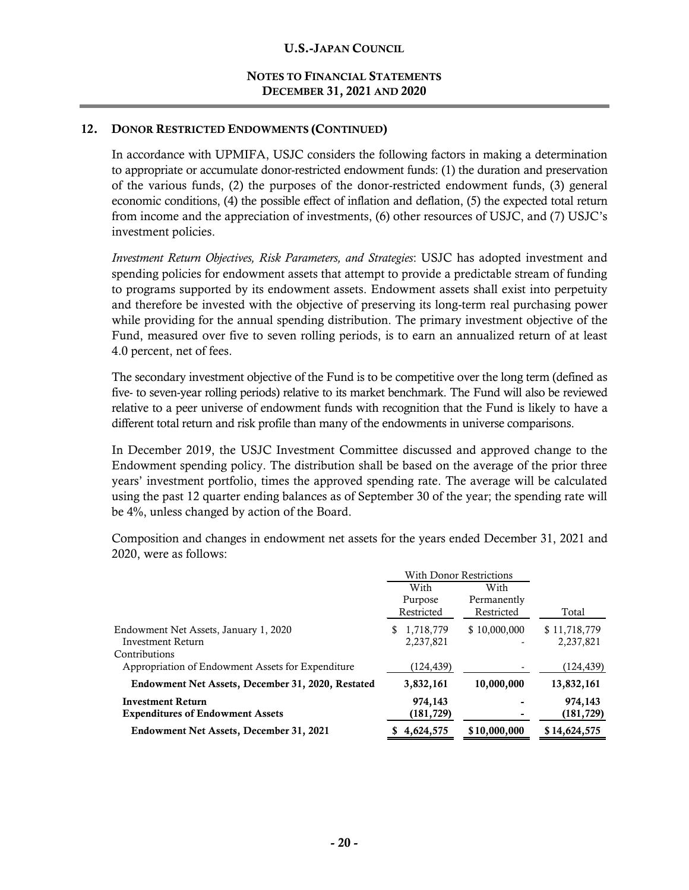## NOTES TO FINANCIAL STATEMENTS DECEMBER 31, 2021 AND 2020

### 12. DONOR RESTRICTED ENDOWMENTS (CONTINUED)

In accordance with UPMIFA, USJC considers the following factors in making a determination to appropriate or accumulate donor-restricted endowment funds: (1) the duration and preservation of the various funds, (2) the purposes of the donor-restricted endowment funds, (3) general economic conditions, (4) the possible effect of inflation and deflation, (5) the expected total return from income and the appreciation of investments, (6) other resources of USJC, and (7) USJC's investment policies.

*Investment Return Objectives, Risk Parameters, and Strategies*: USJC has adopted investment and spending policies for endowment assets that attempt to provide a predictable stream of funding to programs supported by its endowment assets. Endowment assets shall exist into perpetuity and therefore be invested with the objective of preserving its long-term real purchasing power while providing for the annual spending distribution. The primary investment objective of the Fund, measured over five to seven rolling periods, is to earn an annualized return of at least 4.0 percent, net of fees.

The secondary investment objective of the Fund is to be competitive over the long term (defined as five- to seven-year rolling periods) relative to its market benchmark. The Fund will also be reviewed relative to a peer universe of endowment funds with recognition that the Fund is likely to have a different total return and risk profile than many of the endowments in universe comparisons.

In December 2019, the USJC Investment Committee discussed and approved change to the Endowment spending policy. The distribution shall be based on the average of the prior three years' investment portfolio, times the approved spending rate. The average will be calculated using the past 12 quarter ending balances as of September 30 of the year; the spending rate will be 4%, unless changed by action of the Board.

Composition and changes in endowment net assets for the years ended December 31, 2021 and 2020, were as follows:

|                                                   | <b>With Donor Restrictions</b> |                           |              |
|---------------------------------------------------|--------------------------------|---------------------------|--------------|
|                                                   | With                           | With                      |              |
|                                                   | Purpose<br>Restricted          | Permanently<br>Restricted | Total        |
| Endowment Net Assets, January 1, 2020             | 1,718,779<br>S                 | \$10,000,000              | \$11,718,779 |
| Investment Return                                 | 2,237,821                      |                           | 2,237,821    |
| Contributions                                     |                                |                           |              |
| Appropriation of Endowment Assets for Expenditure | (124, 439)                     |                           | (124, 439)   |
| Endowment Net Assets, December 31, 2020, Restated | 3,832,161                      | 10,000,000                | 13,832,161   |
| <b>Investment Return</b>                          | 974,143                        |                           | 974,143      |
| <b>Expenditures of Endowment Assets</b>           | (181, 729)                     |                           | (181, 729)   |
| Endowment Net Assets, December 31, 2021           | 4,624,575                      | \$10,000,000              | \$14,624,575 |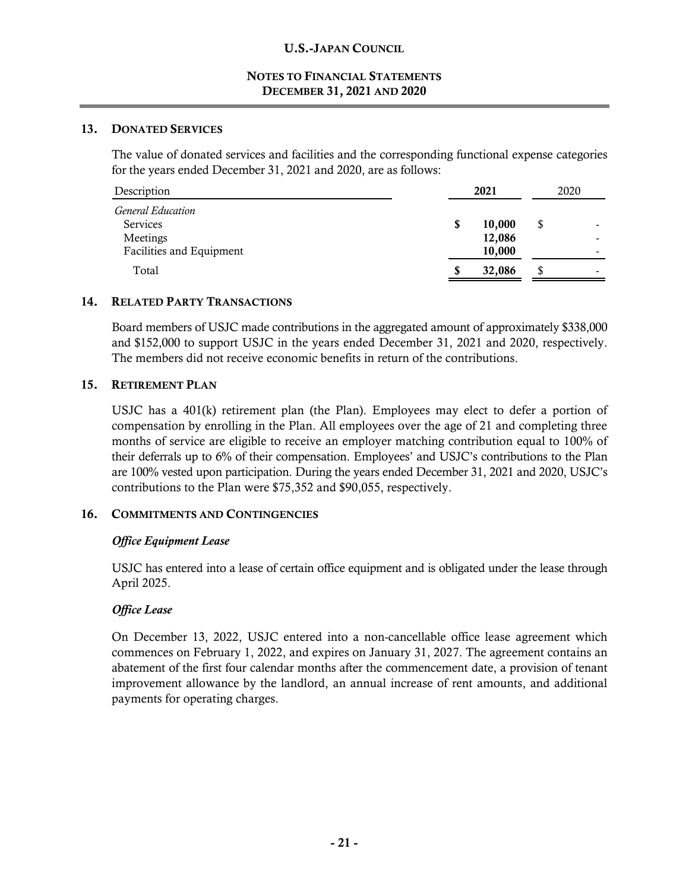## NOTES TO FINANCIAL STATEMENTS DECEMBER 31, 2021 AND 2020

### 13. DONATED SERVICES

The value of donated services and facilities and the corresponding functional expense categories for the years ended December 31, 2021 and 2020, are as follows:

| Description              |   | 2021   |        | 2020                     |  |
|--------------------------|---|--------|--------|--------------------------|--|
| General Education        |   |        |        |                          |  |
| Services                 | S | 10,000 |        | $\overline{\phantom{0}}$ |  |
| Meetings                 |   | 12,086 |        | $\overline{\phantom{0}}$ |  |
| Facilities and Equipment |   | 10,000 |        | $\overline{\phantom{0}}$ |  |
| Total                    |   | 32,086 | c<br>D | $\qquad \qquad$          |  |

### 14. RELATED PARTY TRANSACTIONS

Board members of USJC made contributions in the aggregated amount of approximately \$338,000 and \$152,000 to support USJC in the years ended December 31, 2021 and 2020, respectively. The members did not receive economic benefits in return of the contributions.

### 15. RETIREMENT PLAN

USJC has a 401(k) retirement plan (the Plan). Employees may elect to defer a portion of compensation by enrolling in the Plan. All employees over the age of 21 and completing three months of service are eligible to receive an employer matching contribution equal to 100% of their deferrals up to 6% of their compensation. Employees' and USJC's contributions to the Plan are 100% vested upon participation. During the years ended December 31, 2021 and 2020, USJC's contributions to the Plan were \$75,352 and \$90,055, respectively.

## 16. COMMITMENTS AND CONTINGENCIES

## *Office Equipment Lease*

USJC has entered into a lease of certain office equipment and is obligated under the lease through April 2025.

## *Office Lease*

On December 13, 2022, USJC entered into a non-cancellable office lease agreement which commences on February 1, 2022, and expires on January 31, 2027. The agreement contains an abatement of the first four calendar months after the commencement date, a provision of tenant improvement allowance by the landlord, an annual increase of rent amounts, and additional payments for operating charges.